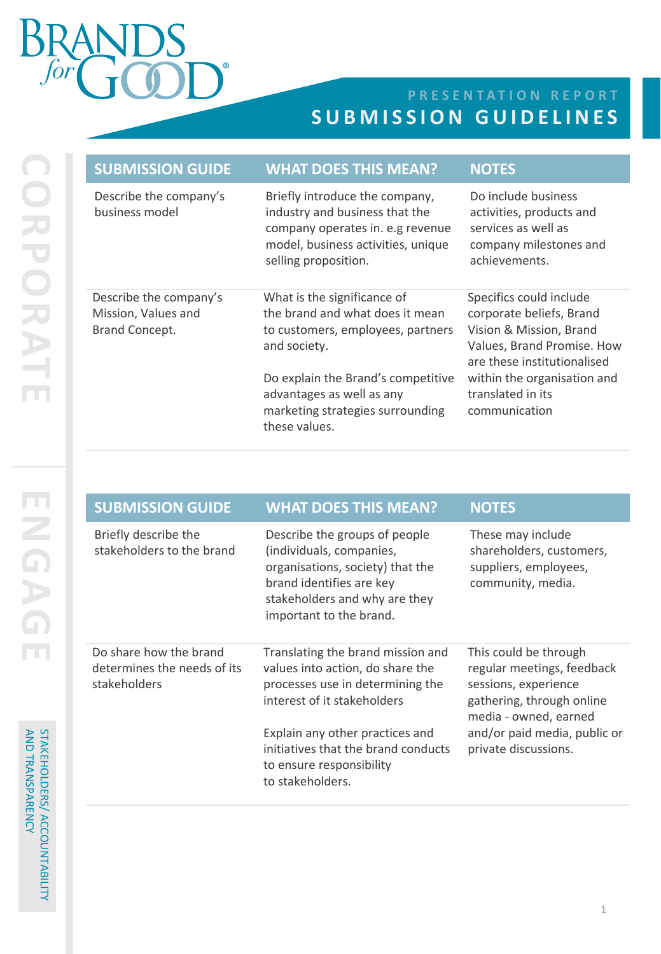## $\int 6r$

## **PRESENTATION REPORT SUBMISSION GUIDELINES**

| <b>SUBMISSION GUIDE</b>                                         | <b>WHAT DOES THIS MEAN?</b>                                                                                                                                        | <b>NOTES</b>                                                                                                                                |
|-----------------------------------------------------------------|--------------------------------------------------------------------------------------------------------------------------------------------------------------------|---------------------------------------------------------------------------------------------------------------------------------------------|
| Describe the company's<br>business model                        | Briefly introduce the company,<br>industry and business that the<br>company operates in. e.g revenue<br>model, business activities, unique<br>selling proposition. | Do include business<br>activities, products and<br>services as well as<br>company milestones and<br>achievements.                           |
| Describe the company's<br>Mission, Values and<br>Brand Concept. | What is the significance of<br>the brand and what does it mean<br>to customers, employees, partners<br>and society.                                                | Specifics could include<br>corporate beliefs, Brand<br>Vision & Mission, Brand<br>Values, Brand Promise. How<br>are these institutionalised |
|                                                                 | Do explain the Brand's competitive<br>advantages as well as any<br>marketing strategies surrounding<br>these values.                                               | within the organisation and<br>translated in its<br>communication                                                                           |

| <b>SUBMISSION GUIDE</b>                                               | <b>WHAT DOES THIS MEAN?</b>                                                                                                                                                                                                                                        | <b>NOTES</b>                                                                                                                                                                              |
|-----------------------------------------------------------------------|--------------------------------------------------------------------------------------------------------------------------------------------------------------------------------------------------------------------------------------------------------------------|-------------------------------------------------------------------------------------------------------------------------------------------------------------------------------------------|
| Briefly describe the<br>stakeholders to the brand                     | Describe the groups of people<br>(individuals, companies,<br>organisations, society) that the<br>brand identifies are key<br>stakeholders and why are they<br>important to the brand.                                                                              | These may include<br>shareholders, customers,<br>suppliers, employees,<br>community, media.                                                                                               |
| Do share how the brand<br>determines the needs of its<br>stakeholders | Translating the brand mission and<br>values into action, do share the<br>processes use in determining the<br>interest of it stakeholders<br>Explain any other practices and<br>initiatives that the brand conducts<br>to ensure responsibility<br>to stakeholders. | This could be through<br>regular meetings, feedback<br>sessions, experience<br>gathering, through online<br>media - owned, earned<br>and/or paid media, public or<br>private discussions. |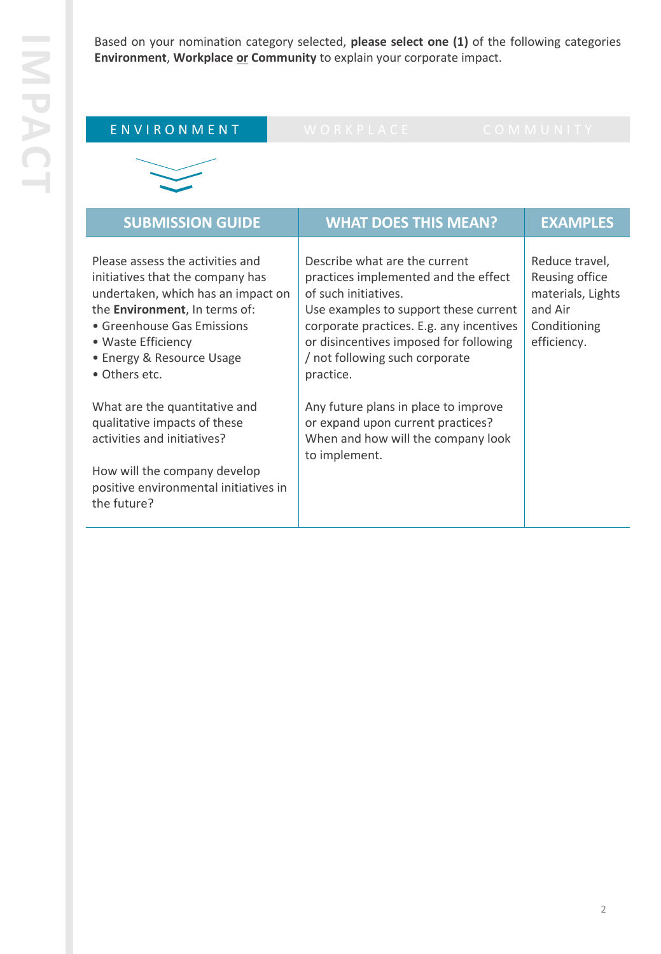Based on your nomination category selected, **please select one (1)** of the following categories **Environment**, **Workplace or Community** to explain your corporate impact.

| ENVIRONMENT                                                                                                                                                                                                                                   | WORKPLACE                                                                                                                                                                                                                                                                   | COMMUNITY                                                                                       |
|-----------------------------------------------------------------------------------------------------------------------------------------------------------------------------------------------------------------------------------------------|-----------------------------------------------------------------------------------------------------------------------------------------------------------------------------------------------------------------------------------------------------------------------------|-------------------------------------------------------------------------------------------------|
|                                                                                                                                                                                                                                               |                                                                                                                                                                                                                                                                             |                                                                                                 |
| <b>SUBMISSION GUIDE</b>                                                                                                                                                                                                                       | <b>WHAT DOES THIS MEAN?</b>                                                                                                                                                                                                                                                 | <b>EXAMPLES</b>                                                                                 |
| Please assess the activities and<br>initiatives that the company has<br>undertaken, which has an impact on<br>the Environment, In terms of:<br>• Greenhouse Gas Emissions<br>• Waste Efficiency<br>• Energy & Resource Usage<br>• Others etc. | Describe what are the current<br>practices implemented and the effect<br>of such initiatives.<br>Use examples to support these current<br>corporate practices. E.g. any incentives<br>or disincentives imposed for following<br>/ not following such corporate<br>practice. | Reduce travel,<br>Reusing office<br>materials, Lights<br>and Air<br>Conditioning<br>efficiency. |
| What are the quantitative and<br>qualitative impacts of these<br>activities and initiatives?<br>How will the company develop<br>positive environmental initiatives in<br>the future?                                                          | Any future plans in place to improve<br>or expand upon current practices?<br>When and how will the company look<br>to implement.                                                                                                                                            |                                                                                                 |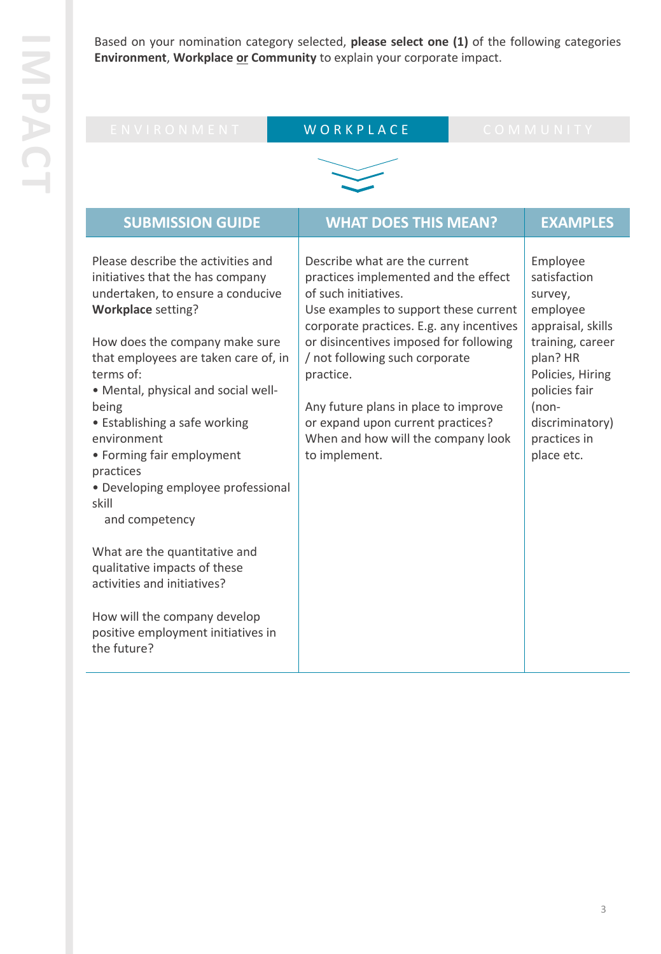Based on your nomination category selected, **please select one (1)** of the following categories **Environment**, **Workplace or Community** to explain your corporate impact.

| ENVIRONMENT                                                                                                                                                                                                                                                                                                                                                                                                                                                                 | WORKPLACE                                                                                                                                                                                                                                                                                                                                                                                                       |  | COMMUNITY                                                                                                                                                                                             |  |
|-----------------------------------------------------------------------------------------------------------------------------------------------------------------------------------------------------------------------------------------------------------------------------------------------------------------------------------------------------------------------------------------------------------------------------------------------------------------------------|-----------------------------------------------------------------------------------------------------------------------------------------------------------------------------------------------------------------------------------------------------------------------------------------------------------------------------------------------------------------------------------------------------------------|--|-------------------------------------------------------------------------------------------------------------------------------------------------------------------------------------------------------|--|
|                                                                                                                                                                                                                                                                                                                                                                                                                                                                             |                                                                                                                                                                                                                                                                                                                                                                                                                 |  |                                                                                                                                                                                                       |  |
| <b>SUBMISSION GUIDE</b>                                                                                                                                                                                                                                                                                                                                                                                                                                                     | <b>WHAT DOES THIS MEAN?</b>                                                                                                                                                                                                                                                                                                                                                                                     |  | <b>EXAMPLES</b>                                                                                                                                                                                       |  |
| Please describe the activities and<br>initiatives that the has company<br>undertaken, to ensure a conducive<br><b>Workplace setting?</b><br>How does the company make sure<br>that employees are taken care of, in<br>terms of:<br>. Mental, physical and social well-<br>being<br>• Establishing a safe working<br>environment<br>• Forming fair employment<br>practices<br>• Developing employee professional<br>skill<br>and competency<br>What are the quantitative and | Describe what are the current<br>practices implemented and the effect<br>of such initiatives.<br>Use examples to support these current<br>corporate practices. E.g. any incentives<br>or disincentives imposed for following<br>/ not following such corporate<br>practice.<br>Any future plans in place to improve<br>or expand upon current practices?<br>When and how will the company look<br>to implement. |  | Employee<br>satisfaction<br>survey,<br>employee<br>appraisal, skills<br>training, career<br>plan? HR<br>Policies, Hiring<br>policies fair<br>$(non-$<br>discriminatory)<br>practices in<br>place etc. |  |
| qualitative impacts of these<br>activities and initiatives?                                                                                                                                                                                                                                                                                                                                                                                                                 |                                                                                                                                                                                                                                                                                                                                                                                                                 |  |                                                                                                                                                                                                       |  |
| How will the company develop<br>positive employment initiatives in<br>the future?                                                                                                                                                                                                                                                                                                                                                                                           |                                                                                                                                                                                                                                                                                                                                                                                                                 |  |                                                                                                                                                                                                       |  |